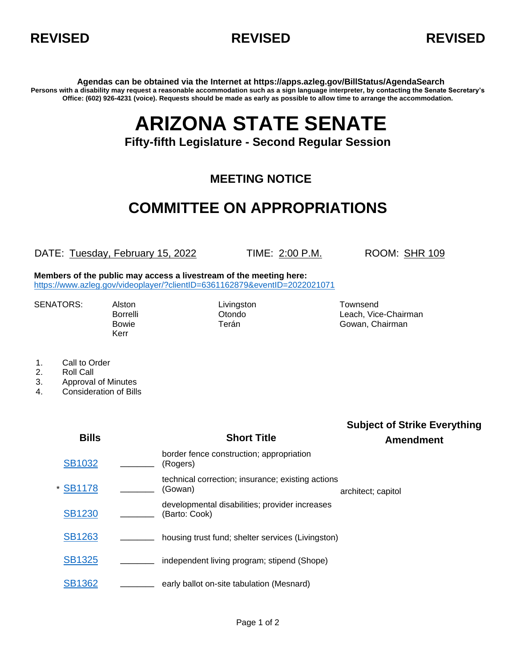



**Agendas can be obtained via the Internet at https://apps.azleg.gov/BillStatus/AgendaSearch Persons with a disability may request a reasonable accommodation such as a sign language interpreter, by contacting the Senate Secretary's Office: (602) 926-4231 (voice). Requests should be made as early as possible to allow time to arrange the accommodation.**

## **ARIZONA STATE SENATE**

**Fifty-fifth Legislature - Second Regular Session**

## **MEETING NOTICE**

## **COMMITTEE ON APPROPRIATIONS**

DATE: Tuesday, February 15, 2022 TIME: 2:00 P.M. ROOM: SHR 109

**Members of the public may access a livestream of the meeting here:**  <https://www.azleg.gov/videoplayer/?clientID=6361162879&eventID=2022021071>

SENATORS: Alston Livingston Livingston Townsend

Kerr

Borrelli Otondo Leach, Vice-Chairman Bowie **Terán** Terán Gowan, Chairman

- 1. Call to Order
- 2. Roll Call
- 3. Approval of Minutes
- 4. Consideration of Bills

**Bills Short Title Subject of Strike Everything Amendment** [SB1032](https://apps.azleg.gov/BillStatus/BillOverview/76294) **\_\_\_\_** border fence construction; appropriation \_\_\_\_\_\_ (Rogers) \* [SB1178](https://apps.azleg.gov/BillStatus/BillOverview/76669) \_\_\_\_\_\_\_\_\_ (Gowan) technical correction; insurance; existing actions architect; capitol [SB1230](https://apps.azleg.gov/BillStatus/BillOverview/77118) **\_\_\_\_** developmental disabilities; provider increases Lato: Cook) [SB1263](https://apps.azleg.gov/BillStatus/BillOverview/77157) **\_\_\_\_** housing trust fund; shelter services (Livingston) [SB1325](https://apps.azleg.gov/BillStatus/BillOverview/77230) **\_\_\_\_** independent living program; stipend (Shope) [SB1362](https://apps.azleg.gov/BillStatus/BillOverview/77270) **\_\_\_\_** early ballot on-site tabulation (Mesnard)